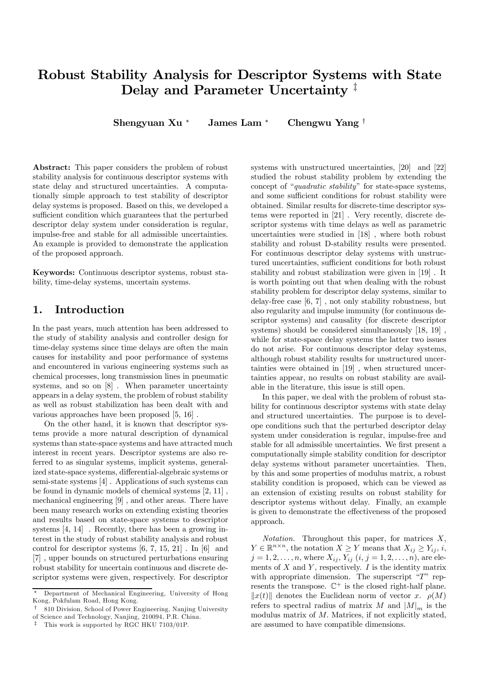# Robust Stability Analysis for Descriptor Systems with State Delay and Parameter Uncertainty<sup>‡</sup>

Shengyuan Xu <sup>∗</sup> James Lam <sup>∗</sup> Chengwu Yang †

Abstract: This paper considers the problem of robust stability analysis for continuous descriptor systems with state delay and structured uncertainties. A computationally simple approach to test stability of descriptor delay systems is proposed. Based on this, we developed a sufficient condition which guarantees that the perturbed descriptor delay system under consideration is regular, impulse-free and stable for all admissible uncertainties. An example is provided to demonstrate the application of the proposed approach.

Keywords: Continuous descriptor systems, robust stability, time-delay systems, uncertain systems.

#### 1. Introduction

In the past years, much attention has been addressed to the study of stability analysis and controller design for time-delay systems since time delays are often the main causes for instability and poor performance of systems and encountered in various engineering systems such as chemical processes, long transmission lines in pneumatic systems, and so on [8] . When parameter uncertainty appears in a delay system, the problem of robust stability as well as robust stabilization has been dealt with and various approaches have been proposed [5, 16] .

On the other hand, it is known that descriptor systems provide a more natural description of dynamical systems than state-space systems and have attracted much interest in recent years. Descriptor systems are also referred to as singular systems, implicit systems, generalized state-space systems, differential-algebraic systems or semi-state systems [4] . Applications of such systems can be found in dynamic models of chemical systems [2, 11] , mechanical engineering [9] , and other areas. There have been many research works on extending existing theories and results based on state-space systems to descriptor systems [4, 14] . Recently, there has been a growing interest in the study of robust stability analysis and robust control for descriptor systems [6, 7, 15, 21] . In [6] and [7] , upper bounds on structured perturbations ensuring robust stability for uncertain continuous and discrete descriptor systems were given, respectively. For descriptor

systems with unstructured uncertainties, [20] and [22] studied the robust stability problem by extending the concept of "quadratic stability" for state-space systems, and some sufficient conditions for robust stability were obtained. Similar results for discrete-time descriptor systems were reported in [21] . Very recently, discrete descriptor systems with time delays as well as parametric uncertainties were studied in [18] , where both robust stability and robust D-stability results were presented. For continuous descriptor delay systems with unstructured uncertainties, sufficient conditions for both robust stability and robust stabilization were given in [19] . It is worth pointing out that when dealing with the robust stability problem for descriptor delay systems, similar to delay-free case [6, 7] , not only stability robustness, but also regularity and impulse immunity (for continuous descriptor systems) and causality (for discrete descriptor systems) should be considered simultaneously [18, 19] , while for state-space delay systems the latter two issues do not arise. For continuous descriptor delay systems, although robust stability results for unstructured uncertainties were obtained in [19] , when structured uncertainties appear, no results on robust stability are available in the literature, this issue is still open.

In this paper, we deal with the problem of robust stability for continuous descriptor systems with state delay and structured uncertainties. The purpose is to develope conditions such that the perturbed descriptor delay system under consideration is regular, impulse-free and stable for all admissible uncertainties. We first present a computationally simple stability condition for descriptor delay systems without parameter uncertainties. Then, by this and some properties of modulus matrix, a robust stability condition is proposed, which can be viewed as an extension of existing results on robust stability for descriptor systems without delay. Finally, an example is given to demonstrate the effectiveness of the proposed approach.

*Notation*. Throughout this paper, for matrices  $X$ ,  $Y \in \mathbb{R}^{n \times n}$ , the notation  $X \geq Y$  means that  $X_{ij} \geq Y_{ij}$ , i,  $j = 1, 2, ..., n$ , where  $X_{ij}$ ,  $Y_{ij}$   $(i, j = 1, 2, ..., n)$ , are elements of  $X$  and  $Y$ , respectively.  $I$  is the identity matrix with appropriate dimension. The superscript " $T$ " represents the transpose.  $\mathbb{C}^+$  is the closed right-half plane.  $||x(t)||$  denotes the Euclidean norm of vector x.  $\rho(M)$ refers to spectral radius of matrix M and  $|M|_m$  is the modulus matrix of M. Matrices, if not explicitly stated, are assumed to have compatible dimensions.

<sup>∗</sup> Department of Mechanical Engineering, University of Hong Kong, Pokfulam Road, Hong Kong.

<sup>†</sup> 810 Division, School of Power Engineering, Nanjing University of Science and Technology, Nanjing, 210094, P.R. China.

This work is supported by RGC HKU 7103/01P.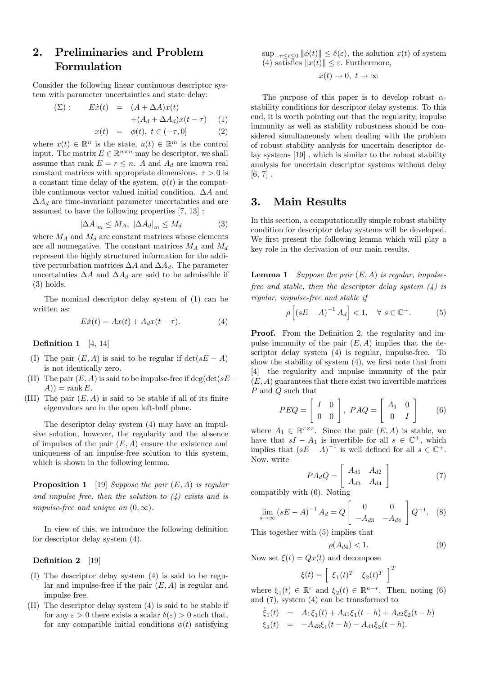## 2. Preliminaries and Problem Formulation

Consider the following linear continuous descriptor system with parameter uncertainties and state delay:

$$
\begin{aligned}\n(\Sigma): \qquad E\dot{x}(t) &= (A + \Delta A)x(t) \\
&\quad + (A_d + \Delta A_d)x(t - \tau) \\
&\quad x(t) &= \phi(t), \ t \in (-\tau, 0]\n\end{aligned} \tag{1}
$$

where  $x(t) \in \mathbb{R}^n$  is the state,  $u(t) \in \mathbb{R}^m$  is the control input. The matrix  $E \in \mathbb{R}^{n \times n}$  may be descriptor, we shall assume that rank  $E = r \le n$ . A and  $A_d$  are known real constant matrices with appropriate dimensions.  $\tau > 0$  is a constant time delay of the system,  $\phi(t)$  is the compatible continuous vector valued initial condition. ∆A and  $\Delta A_d$  are time-invariant parameter uncertainties and are assumed to have the following properties [7, 13] :

$$
|\Delta A|_m \le M_A, \ |\Delta A_d|_m \le M_d \tag{3}
$$

where  $M_A$  and  $M_d$  are constant matrices whose elements are all nonnegative. The constant matrices  $M_A$  and  $M_d$ represent the highly structured information for the additive perturbation matrices  $\Delta A$  and  $\Delta A_d$ . The parameter uncertainties  $\Delta A$  and  $\Delta A_d$  are said to be admissible if (3) holds.

The nominal descriptor delay system of (1) can be written as:

$$
E\dot{x}(t) = Ax(t) + A_d x(t - \tau). \tag{4}
$$

Definition 1 [4, 14]

- (I) The pair  $(E, A)$  is said to be regular if  $\det(sE A)$ is not identically zero.
- (II) The pair  $(E, A)$  is said to be impulse-free if deg(det(sE−  $A$ )) = rank E.
- (III) The pair  $(E, A)$  is said to be stable if all of its finite eigenvalues are in the open left-half plane.

The descriptor delay system (4) may have an impulsive solution, however, the regularity and the absence of impulses of the pair  $(E, A)$  ensure the existence and uniqueness of an impulse-free solution to this system, which is shown in the following lemma.

**Proposition 1** [19] Suppose the pair  $(E, A)$  is regular and impulse free, then the solution to  $(4)$  exists and is impulse-free and unique on  $(0, \infty)$ .

In view of this, we introduce the following definition for descriptor delay system (4).

#### Definition 2 [19]

- (I) The descriptor delay system (4) is said to be regular and impulse-free if the pair  $(E, A)$  is regular and impulse free.
- (II) The descriptor delay system (4) is said to be stable if for any  $\varepsilon > 0$  there exists a scalar  $\delta(\varepsilon) > 0$  such that, for any compatible initial conditions  $\phi(t)$  satisfying

 $\sup_{-\tau \leq t \leq 0} ||\phi(t)|| \leq \delta(\varepsilon)$ , the solution  $x(t)$  of system (4) satisfies  $||x(t)|| \leq \varepsilon$ . Furthermore,

$$
x(t) \to 0, \ t \to \infty
$$

The purpose of this paper is to develop robust  $\alpha$ stability conditions for descriptor delay systems. To this end, it is worth pointing out that the regularity, impulse immunity as well as stability robustness should be considered simultaneously when dealing with the problem of robust stability analysis for uncertain descriptor delay systems [19] , which is similar to the robust stability analysis for uncertain descriptor systems without delay  $[6, 7]$ .

#### 3. Main Results

In this section, a computationally simple robust stability condition for descriptor delay systems will be developed. We first present the following lemma which will play a key role in the derivation of our main results.

**Lemma 1** Suppose the pair  $(E, A)$  is regular, impulsefree and stable, then the descriptor delay system  $(4)$  is regular, impulse-free and stable if

$$
\rho\left[\left(sE-A\right)^{-1}A_d\right] < 1, \quad \forall \ s \in \mathbb{C}^+. \tag{5}
$$

Proof. From the Definition 2, the regularity and impulse immunity of the pair  $(E, A)$  implies that the descriptor delay system (4) is regular, impulse-free. To show the stability of system (4), we first note that from [4] the regularity and impulse immunity of the pair  $(E, A)$  guarantees that there exist two invertible matrices P and O such that

$$
PEQ = \left[ \begin{array}{cc} I & 0 \\ 0 & 0 \end{array} \right], \; PAQ = \left[ \begin{array}{cc} A_1 & 0 \\ 0 & I \end{array} \right] \tag{6}
$$

where  $A_1 \in \mathbb{R}^{r \times r}$ . Since the pair  $(E, A)$  is stable, we have that  $sI - A_1$  is invertible for all  $s \in \mathbb{C}^+$ , which implies that  $(sE - A)^{-1}$  is well defined for all  $s \in \mathbb{C}^+$ . Now, write

$$
PA_dQ = \begin{bmatrix} A_{d1} & A_{d2} \\ A_{d3} & A_{d4} \end{bmatrix}
$$
 (7)  
h (6) Noting

compatibly with (6). Noting

$$
\lim_{s \to \infty} (sE - A)^{-1} A_d = Q \begin{bmatrix} 0 & 0 \\ -A_{d3} & -A_{d4} \end{bmatrix} Q^{-1}.
$$
 (8)

This together with (5) implies that

$$
\rho(A_{d4}) < 1. \tag{9}
$$

Now set  $\xi(t) = Qx(t)$  and decompose

$$
\xi(t) = \left[ \begin{array}{cc} \xi_1(t)^T & \xi_2(t)^T \end{array} \right]^T
$$

where  $\xi_1(t) \in \mathbb{R}^r$  and  $\xi_2(t) \in \mathbb{R}^{n-r}$ . Then, noting (6) and (7), system (4) can be transformed to  $\overline{A}(\epsilon)(t) + \overline{A}(\epsilon(t-1)) + \overline{A}(\epsilon(t-1))$ 

$$
\dot{\xi}_1(t) = A_1 \xi_1(t) + A_{d1} \xi_1(t - h) + A_{d2} \xi_2(t - h)
$$
  

$$
\xi_2(t) = -A_{d3} \xi_1(t - h) - A_{d4} \xi_2(t - h).
$$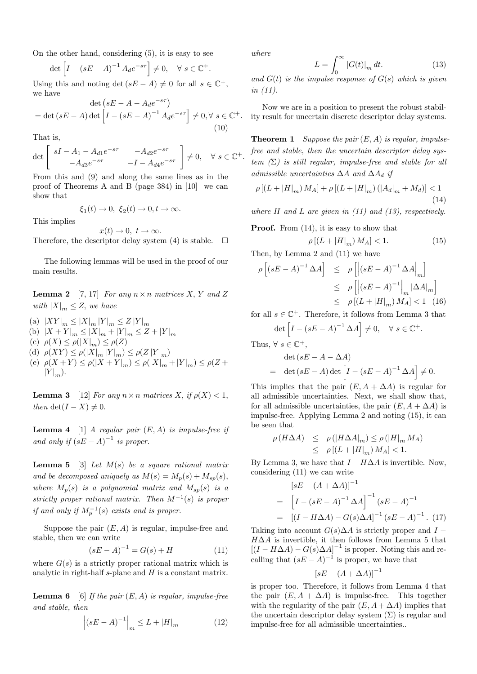On the other hand, considering (5), it is easy to see

$$
\det \left[I - \left(sE - A\right)^{-1} A_d e^{-s\tau}\right] \neq 0, \quad \forall \ s \in \mathbb{C}^+.
$$

Using this and noting det  $(sE - A) \neq 0$  for all  $s \in \mathbb{C}^+$ , we have

$$
\det\left(sE - A - A_d e^{-s\tau}\right)
$$
  
= det  $(sE - A)$  det  $\left[I - (sE - A)^{-1} A_d e^{-s\tau}\right] \neq 0, \forall s \in \mathbb{C}^+.$   
(10)

That is,

$$
\det\begin{bmatrix} sI - A_1 - A_{d1}e^{-s\tau} & -A_{d2}e^{-s\tau} \\ -A_{d3}e^{-s\tau} & -I - A_{d4}e^{-s\tau} \end{bmatrix} \neq 0, \quad \forall s \in \mathbb{C}^+.
$$

From this and (9) and along the same lines as in the proof of Theorems A and B (page 384) in [10] we can show that

$$
\xi_1(t)\to 0,\ \xi_2(t)\to 0, t\to \infty.
$$

This implies

$$
x(t) \to 0, \ t \to \infty.
$$
Therefore, the descriptor delay system (4) is stable.  $\square$ 

The following lemmas will be used in the proof of our main results.

**Lemma 2** [7, 17] For any  $n \times n$  matrices X, Y and Z with  $|X|_m \leq Z$ , we have

- (a)  $|XY|_m \leq |X|_m |Y|_m \leq Z |Y|_m$
- (b)  $|X + Y|_m \leq |X|_m + |Y|_m \leq Z + |Y|_m$
- (c)  $\rho(X) \leq \rho(|X|_m) \leq \rho(Z)$
- (d)  $\rho(XY) \leq \rho(|X|_m |Y|_m) \leq \rho(Z|Y|_m)$
- (e)  $\rho(X + Y) \le \rho(|X + Y|_m) \le \rho(|X|_m + |Y|_m) \le \rho(Z + Y)$  $|Y|_m$ .

**Lemma 3** [12] For any  $n \times n$  matrices X, if  $\rho(X) < 1$ , then det(I – X)  $\neq$  0.

**Lemma 4** [1] A regular pair  $(E, A)$  is impulse-free if and only if  $(sE - A)^{-1}$  is proper.

**Lemma 5** [3] Let  $M(s)$  be a square rational matrix and be decomposed uniquely as  $M(s) = M_p(s) + M_{sp}(s)$ , where  $M_p(s)$  is a polynomial matrix and  $M_{sp}(s)$  is a strictly proper rational matrix. Then  $M^{-1}(s)$  is proper if and only if  $M_p^{-1}(s)$  exists and is proper.

Suppose the pair  $(E, A)$  is regular, impulse-free and stable, then we can write

$$
(sE - A)^{-1} = G(s) + H \tag{11}
$$

where  $G(s)$  is a strictly proper rational matrix which is analytic in right-half  $s$ -plane and  $H$  is a constant matrix.

**Lemma 6** [6] If the pair  $(E, A)$  is regular, impulse-free and stable, then

$$
\left| (sE - A)^{-1} \right|_{m} \le L + |H|_{m} \tag{12}
$$

where

$$
L = \int_0^\infty |G(t)|_m \, dt. \tag{13}
$$

 $\begin{array}{c} \n\text{and } G(t) \text{ is the impulse response of } G(s) \text{ which is given} \n\end{array}$ in (11).

Now we are in a position to present the robust stability result for uncertain discrete descriptor delay systems.

**Theorem 1** Suppose the pair  $(E, A)$  is regular, impulsefree and stable, then the uncertain descriptor delay system  $(\Sigma)$  is still regular, impulse-free and stable for all admissible uncertainties  $\Delta A$  and  $\Delta A_d$  if

$$
\rho \left[ \left( L+|H|_{m} \right) M_{A} \right] + \rho \left[ \left( L+|H|_{m} \right) \left( |A_{d}|_{m} + M_{d} \right) \right] < 1 \tag{14}
$$

where  $H$  and  $L$  are given in (11) and (13), respectively.

Proof. From (14), it is easy to show that

$$
\rho\left[\left(L+|H|_{m}\right)M_{A}\right]<1.\tag{15}
$$

Then, by Lemma 2 and (11) we have

$$
\rho [(sE - A)^{-1} \Delta A] \leq \rho [(sE - A)^{-1} \Delta A]_m
$$
  
\n
$$
\leq \rho [(sE - A)^{-1}]_m |\Delta A|_m
$$
  
\n
$$
\leq \rho [(L + |H|_m) M_A] < 1 \quad (16)
$$

for all  $s \in \mathbb{C}^+$ . Therefore, it follows from Lemma 3 that

$$
\det \left[ I - (sE - A)^{-1} \Delta A \right] \neq 0, \quad \forall s \in \mathbb{C}^+.
$$
Thus,  $\forall s \in \mathbb{C}^+$ ,

$$
\det (sE - A - \Delta A)
$$
  
= \det (sE - A) \det [I - (sE - A)^{-1} \Delta A] \neq 0.

This implies that the pair  $(E, A + \Delta A)$  is regular for all admissible uncertainties. Next, we shall show that, for all admissible uncertainties, the pair  $(E, A + \Delta A)$  is impulse-free. Applying Lemma 2 and noting (15), it can be seen that

$$
\rho(H\Delta A) \leq \rho(|H\Delta A|_m) \leq \rho(|H|_m M_A)
$$
  

$$
\leq \rho[(L+|H|_m) M_A] < 1.
$$

By Lemma 3, we have that  $I - H\Delta A$  is invertible. Now, considering (11) we can write

$$
[sE - (A + \Delta A)]^{-1}
$$
  
= 
$$
[I - (sE - A)^{-1} \Delta A]^{-1} (sE - A)^{-1}
$$
  
= 
$$
[(I - H\Delta A) - G(s)\Delta A]^{-1} (sE - A)^{-1}.
$$
 (17)

Taking into account  $G(s)\Delta A$  is strictly proper and  $I H\Delta A$  is invertible, it then follows from Lemma 5 that  $[(I - H\Delta A) - G(s)\Delta A]^{-1}$  is proper. Noting this and recalling that  $(sE - A)^{-1}$  is proper, we have that

$$
[sE - (A + \Delta A)]^{-1}
$$

is proper too. Therefore, it follows from Lemma 4 that the pair  $(E, A + \Delta A)$  is impulse-free. This together with the regularity of the pair  $(E, A + \Delta A)$  implies that the uncertain descriptor delay system  $(\Sigma)$  is regular and impulse-free for all admissible uncertainties..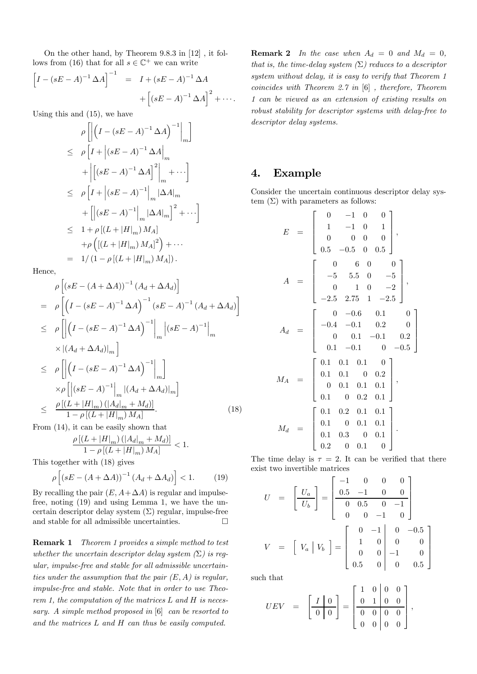On the other hand, by Theorem 9.8.3 in [12] , it follows from (16) that for all  $s \in \mathbb{C}^+$  we can write

$$
\[I - (sE - A)^{-1} \Delta A\]^{-1} = I + (sE - A)^{-1} \Delta A + [(sE - A)^{-1} \Delta A]^2 + \cdots
$$

Using this and (15), we have

$$
\rho\left[\left|\left(I - (sE - A)^{-1} \Delta A\right)^{-1}\Big|_{m}\right]\right]
$$
\n
$$
\leq \rho\left[I + \left|(sE - A)^{-1} \Delta A\right|_{m} + \left|\left[(sE - A)^{-1} \Delta A\right]_{m}^{2}\right|_{m} + \cdots\right]
$$
\n
$$
\leq \rho\left[I + \left|(sE - A)^{-1}\right|_{m} |\Delta A|_{m} + \left|\left|(sE - A)^{-1}\right|_{m} |\Delta A|_{m}\right|^{2} + \cdots\right]
$$
\n
$$
\leq 1 + \rho\left[(L + |H|_{m}) M_{A}\right]
$$
\n
$$
+ \rho\left(\left[(L + |H|_{m}) M_{A}\right]^{2}\right) + \cdots
$$
\n
$$
= 1/(1 - \rho\left[(L + |H|_{m}) M_{A}\right]).
$$

Hence,

$$
\rho \left[ \left( sE - (A + \Delta A) \right)^{-1} (A_d + \Delta A_d) \right]
$$
\n
$$
= \rho \left[ \left( I - \left( sE - A \right)^{-1} \Delta A \right)^{-1} \left( sE - A \right)^{-1} (A_d + \Delta A_d) \right]
$$
\n
$$
\leq \rho \left[ \left| \left( I - \left( sE - A \right)^{-1} \Delta A \right)^{-1} \right|_m \left| \left( sE - A \right)^{-1} \right|_m
$$
\n
$$
\times \left| (A_d + \Delta A_d) \right|_m \right]
$$
\n
$$
\leq \rho \left[ \left| \left( I - \left( sE - A \right)^{-1} \Delta A \right)^{-1} \right|_m \right]
$$
\n
$$
\times \rho \left[ \left| \left( sE - A \right)^{-1} \right|_m \left| \left( A_d + \Delta A_d \right) \right|_m \right]
$$
\n
$$
\leq \frac{\rho \left[ \left( L + |H|_m \right) \left( |A_d|_m + M_d \right) \right]}{1 - \rho \left[ \left( L + |H|_m \right) M_A \right]}.
$$
\n(18)

From (14), it can be easily shown that

$$
\frac{\rho\left[ (L+|H|_m) \left( |A_d|_m + M_d \right) \right]}{1 - \rho\left[ (L+|H|_m) M_A \right]} < 1.
$$

This together with (18) gives

$$
\rho\left[\left(sE - \left(A + \Delta A\right)\right)^{-1}\left(A_d + \Delta A_d\right)\right] < 1. \tag{19}
$$

By recalling the pair  $(E, A + \Delta A)$  is regular and impulsefree, noting (19) and using Lemma 1, we have the uncertain descriptor delay system  $(\Sigma)$  regular, impulse-free and stable for all admissible uncertainties.  $\Box$ 

Remark 1 Theorem 1 provides a simple method to test whether the uncertain descriptor delay system  $(\Sigma)$  is regular, impulse-free and stable for all admissible uncertainties under the assumption that the pair  $(E, A)$  is regular, impulse-free and stable. Note that in order to use Theorem 1, the computation of the matrices  $L$  and  $H$  is necessary. A simple method proposed in [6] can be resorted to and the matrices L and H can thus be easily computed.

**Remark 2** In the case when  $A_d = 0$  and  $M_d = 0$ , that is, the time-delay system  $(\Sigma)$  reduces to a descriptor system without delay, it is easy to verify that Theorem 1 coincides with Theorem 2.7 in [6] , therefore, Theorem 1 can be viewed as an extension of existing results on robust stability for descriptor systems with delay-free to descriptor delay systems.

### 4. Example

Consider the uncertain continuous descriptor delay system  $(\Sigma)$  with parameters as follows:

$$
E = \begin{bmatrix} 0 & -1 & 0 & 0 \\ 1 & -1 & 0 & 1 \\ 0 & 0 & 0 & 0 \\ 0.5 & -0.5 & 0 & 0.5 \end{bmatrix},
$$
  
\n
$$
A = \begin{bmatrix} 0 & 6 & 0 & 0 \\ -5 & 5.5 & 0 & -5 \\ 0 & 1 & 0 & -2 \\ -2.5 & 2.75 & 1 & -2.5 \end{bmatrix},
$$
  
\n
$$
A_d = \begin{bmatrix} 0 & -0.6 & 0.1 & 0 \\ -0.4 & -0.1 & 0.2 & 0 \\ 0 & 0.1 & -0.1 & 0.2 \\ 0.1 & -0.1 & 0 & -0.5 \end{bmatrix}
$$
  
\n
$$
M_A = \begin{bmatrix} 0.1 & 0.1 & 0.1 & 0 \\ 0.1 & 0.1 & 0.1 & 0.1 \\ 0.1 & 0 & 0.2 & 0.1 \end{bmatrix},
$$
  
\n
$$
M_d = \begin{bmatrix} 0.1 & 0.2 & 0.1 & 0.1 \\ 0.1 & 0 & 0.1 & 0.1 \\ 0.1 & 0.3 & 0 & 0.1 \\ 0.2 & 0 & 0.1 & 0 \end{bmatrix}.
$$

The time delay is  $\tau = 2$ . It can be verified that there exist two invertible matrices

$$
U = \begin{bmatrix} U_a \\ U_b \end{bmatrix} = \begin{bmatrix} -1 & 0 & 0 & 0 \\ 0.5 & -1 & 0 & 0 \\ 0 & 0.5 & 0 & -1 \\ 0 & 0 & -1 & 0 \end{bmatrix}
$$

$$
V = \begin{bmatrix} V_a & V_b \end{bmatrix} = \begin{bmatrix} 0 & -1 & 0 & -0.5 \\ 1 & 0 & 0 & 0 \\ 0 & 0 & -1 & 0 \\ 0.5 & 0 & 0 & 0.5 \end{bmatrix}
$$

such that

$$
UEV = \left[\begin{array}{c|c} I & 0 \\ \hline 0 & 0 \end{array}\right] = \left[\begin{array}{cc|c} 1 & 0 & 0 & 0 \\ 0 & 1 & 0 & 0 \\ \hline 0 & 0 & 0 & 0 \\ 0 & 0 & 0 & 0 \end{array}\right],
$$